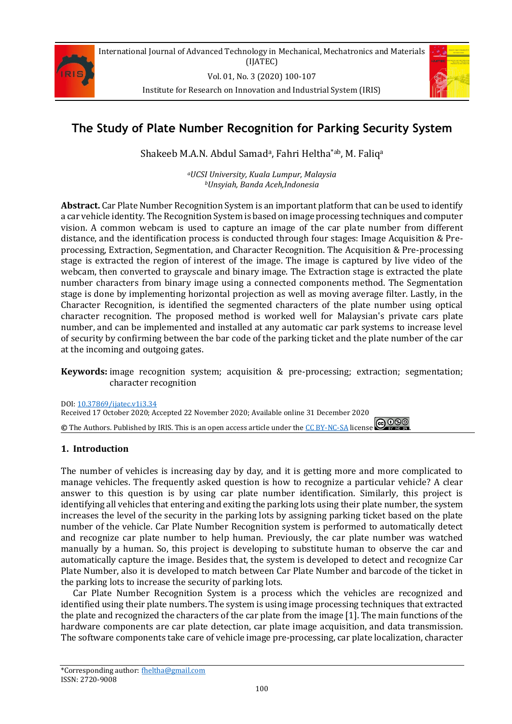

Vol. 01, No. 3 (2020) 100-107

Institute for Research on Innovation and Industrial System (IRIS)



# **The Study of Plate Number Recognition for Parking Security System**

Shakeeb M.A.N. Abdul Samad<sup>a</sup>, Fahri Heltha<sup>\*ab</sup>, M. Faliq<sup>a</sup>

*<sup>a</sup>UCSI University, Kuala Lumpur, Malaysia <sup>b</sup>Unsyiah, Banda Aceh,Indonesia*

**Abstract.** Car Plate Number Recognition System is an important platform that can be used to identify a car vehicle identity. The Recognition System is based on image processing techniques and computer vision. A common webcam is used to capture an image of the car plate number from different distance, and the identification process is conducted through four stages: Image Acquisition & Preprocessing, Extraction, Segmentation, and Character Recognition. The Acquisition & Pre-processing stage is extracted the region of interest of the image. The image is captured by live video of the webcam, then converted to grayscale and binary image. The Extraction stage is extracted the plate number characters from binary image using a connected components method. The Segmentation stage is done by implementing horizontal projection as well as moving average filter. Lastly, in the Character Recognition, is identified the segmented characters of the plate number using optical character recognition. The proposed method is worked well for Malaysian's private cars plate number, and can be implemented and installed at any automatic car park systems to increase level of security by confirming between the bar code of the parking ticket and the plate number of the car at the incoming and outgoing gates.

**Keywords:** image recognition system; acquisition & pre-processing; extraction; segmentation; character recognition

DOI[: 10.37869/ijatec.v1i3.34](https://doi.org/10.37869/ijatec.v1i3.34) Received 17 October 2020; Accepted 22 November 2020; Available online 31 December 2020 **©** The Authors. Published by IRIS. This is an open access article under th[e CC BY-NC-SA](https://creativecommons.org/licenses/by-nc-sa/4.0/) license  $\bigcirc$  090

# **1. Introduction**

The number of vehicles is increasing day by day, and it is getting more and more complicated to manage vehicles. The frequently asked question is how to recognize a particular vehicle? A clear answer to this question is by using car plate number identification. Similarly, this project is identifying all vehicles that entering and exiting the parking lots using their plate number, the system increases the level of the security in the parking lots by assigning parking ticket based on the plate number of the vehicle. Car Plate Number Recognition system is performed to automatically detect and recognize car plate number to help human. Previously, the car plate number was watched manually by a human. So, this project is developing to substitute human to observe the car and automatically capture the image. Besides that, the system is developed to detect and recognize Car Plate Number, also it is developed to match between Car Plate Number and barcode of the ticket in the parking lots to increase the security of parking lots.

Car Plate Number Recognition System is a process which the vehicles are recognized and identified using their plate numbers. The system is using image processing techniques that extracted the plate and recognized the characters of the car plate from the image [1]. The main functions of the hardware components are car plate detection, car plate image acquisition, and data transmission. The software components take care of vehicle image pre-processing, car plate localization, character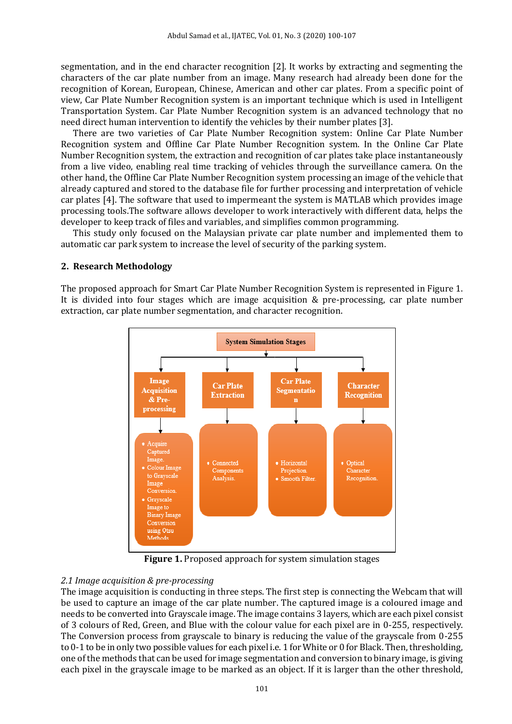segmentation, and in the end character recognition [2]. It works by extracting and segmenting the characters of the car plate number from an image. Many research had already been done for the recognition of Korean, European, Chinese, American and other car plates. From a specific point of view, Car Plate Number Recognition system is an important technique which is used in Intelligent Transportation System. Car Plate Number Recognition system is an advanced technology that no need direct human intervention to identify the vehicles by their number plates [3].

There are two varieties of Car Plate Number Recognition system: Online Car Plate Number Recognition system and Offline Car Plate Number Recognition system. In the Online Car Plate Number Recognition system, the extraction and recognition of car plates take place instantaneously from a live video, enabling real time tracking of vehicles through the surveillance camera. On the other hand, the Offline Car Plate Number Recognition system processing an image of the vehicle that already captured and stored to the database file for further processing and interpretation of vehicle car plates [4]. The software that used to impermeant the system is MATLAB which provides image processing tools.The software allows developer to work interactively with different data, helps the developer to keep track of files and variables, and simplifies common programming.

This study only focused on the Malaysian private car plate number and implemented them to automatic car park system to increase the level of security of the parking system.

#### **2. Research Methodology**

The proposed approach for Smart Car Plate Number Recognition System is represented in Figure 1. It is divided into four stages which are image acquisition & pre-processing, car plate number extraction, car plate number segmentation, and character recognition.



**Figure 1.** Proposed approach for system simulation stages

#### *2.1 Image acquisition & pre-processing*

The image acquisition is conducting in three steps. The first step is connecting the Webcam that will be used to capture an image of the car plate number. The captured image is a coloured image and needs to be converted into Grayscale image. The image contains 3 layers, which are each pixel consist of 3 colours of Red, Green, and Blue with the colour value for each pixel are in 0-255, respectively. The Conversion process from grayscale to binary is reducing the value of the grayscale from 0-255 to 0-1 to be in only two possible values for each pixel i.e. 1 for White or 0 for Black. Then, thresholding, one of the methods that can be used for image segmentation and conversion to binary image, is giving each pixel in the grayscale image to be marked as an object. If it is larger than the other threshold,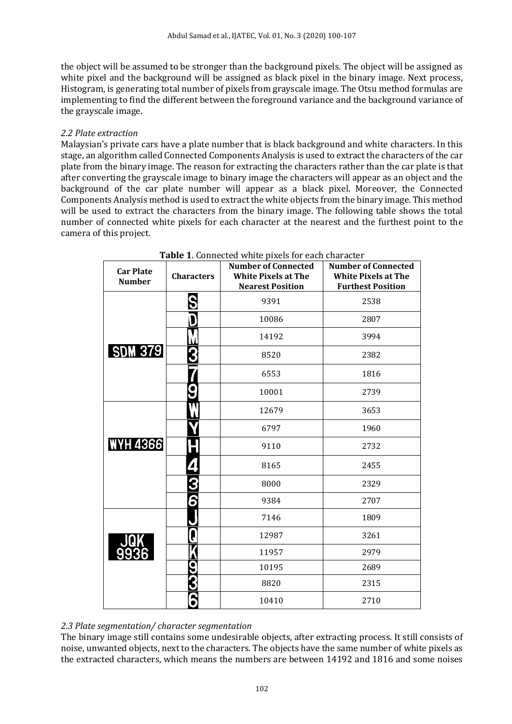the object will be assumed to be stronger than the background pixels. The object will be assigned as white pixel and the background will be assigned as black pixel in the binary image. Next process, Histogram, is generating total number of pixels from grayscale image. The Otsu method formulas are implementing to find the different between the foreground variance and the background variance of the grayscale image.

#### *2.2 Plate extraction*

Malaysian's private cars have a plate number that is black background and white characters. In this stage, an algorithm called Connected Components Analysis is used to extract the characters of the car plate from the binary image. The reason for extracting the characters rather than the car plate is that after converting the grayscale image to binary image the characters will appear as an object and the background of the car plate number will appear as a black pixel. Moreover, the Connected Components Analysis method is used to extract the white objects from the binary image. This method will be used to extract the characters from the binary image. The following table shows the total number of connected white pixels for each character at the nearest and the furthest point to the camera of this project.

| <b>Car Plate</b><br><b>Number</b> | <b>Characters</b> | <b>Table 1.</b> Connected white pixels for each character<br><b>Number of Connected</b><br><b>White Pixels at The</b><br><b>Nearest Position</b> | <b>Number of Connected</b><br><b>White Pixels at The</b><br><b>Furthest Position</b> |
|-----------------------------------|-------------------|--------------------------------------------------------------------------------------------------------------------------------------------------|--------------------------------------------------------------------------------------|
|                                   | S                 | 9391                                                                                                                                             | 2538                                                                                 |
|                                   | D                 | 10086                                                                                                                                            | 2807                                                                                 |
|                                   |                   | 14192                                                                                                                                            | 3994                                                                                 |
| <b>SDM 379</b>                    |                   | 8520                                                                                                                                             | 2382                                                                                 |
|                                   |                   | 6553                                                                                                                                             | 1816                                                                                 |
|                                   |                   | 10001                                                                                                                                            | 2739                                                                                 |
|                                   |                   | 12679                                                                                                                                            | 3653                                                                                 |
|                                   |                   | 6797                                                                                                                                             | 1960                                                                                 |
| <b>WYH 4366</b>                   |                   | 9110                                                                                                                                             | 2732                                                                                 |
|                                   |                   | 8165                                                                                                                                             | 2455                                                                                 |
|                                   |                   | 8000                                                                                                                                             | 2329                                                                                 |
|                                   | 6                 | 9384                                                                                                                                             | 2707                                                                                 |
|                                   |                   | 7146                                                                                                                                             | 1809                                                                                 |
|                                   | Į                 | 12987                                                                                                                                            | 3261                                                                                 |
|                                   |                   | 11957                                                                                                                                            | 2979                                                                                 |
|                                   |                   | 10195                                                                                                                                            | 2689                                                                                 |
|                                   |                   | 8820                                                                                                                                             | 2315                                                                                 |
|                                   |                   | 10410                                                                                                                                            | 2710                                                                                 |

**Table 1**. Connected white pixels for each character

#### *2.3 Plate segmentation/ character segmentation*

The binary image still contains some undesirable objects, after extracting process. It still consists of noise, unwanted objects, next to the characters. The objects have the same number of white pixels as the extracted characters, which means the numbers are between 14192 and 1816 and some noises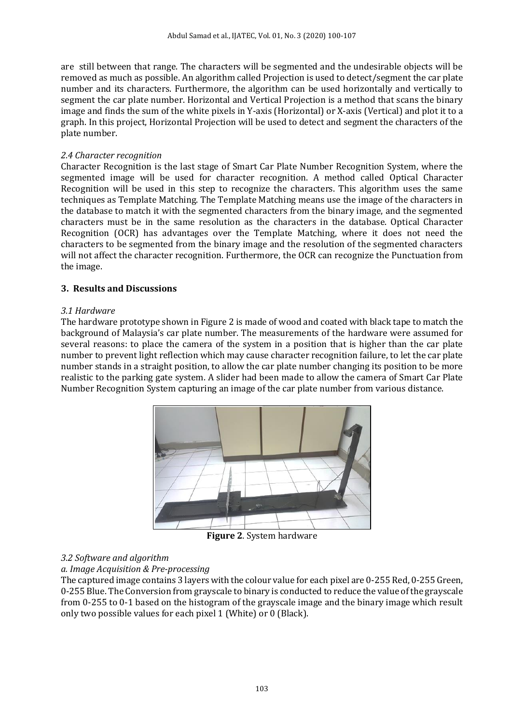are still between that range. The characters will be segmented and the undesirable objects will be removed as much as possible. An algorithm called Projection is used to detect/segment the car plate number and its characters. Furthermore, the algorithm can be used horizontally and vertically to segment the car plate number. Horizontal and Vertical Projection is a method that scans the binary image and finds the sum of the white pixels in Y-axis (Horizontal) or X-axis (Vertical) and plot it to a graph. In this project, Horizontal Projection will be used to detect and segment the characters of the plate number.

#### *2.4 Character recognition*

Character Recognition is the last stage of Smart Car Plate Number Recognition System, where the segmented image will be used for character recognition. A method called Optical Character Recognition will be used in this step to recognize the characters. This algorithm uses the same techniques as Template Matching. The Template Matching means use the image of the characters in the database to match it with the segmented characters from the binary image, and the segmented characters must be in the same resolution as the characters in the database. Optical Character Recognition (OCR) has advantages over the Template Matching, where it does not need the characters to be segmented from the binary image and the resolution of the segmented characters will not affect the character recognition. Furthermore, the OCR can recognize the Punctuation from the image.

## **3. Results and Discussions**

#### *3.1 Hardware*

The hardware prototype shown in Figure 2 is made of wood and coated with black tape to match the background of Malaysia's car plate number. The measurements of the hardware were assumed for several reasons: to place the camera of the system in a position that is higher than the car plate number to prevent light reflection which may cause character recognition failure, to let the car plate number stands in a straight position, to allow the car plate number changing its position to be more realistic to the parking gate system. A slider had been made to allow the camera of Smart Car Plate Number Recognition System capturing an image of the car plate number from various distance.



**Figure 2**. System hardware

## *3.2 Software and algorithm*

## *a. Image Acquisition & Pre-processing*

The captured image contains 3 layers with the colour value for each pixel are 0-255 Red, 0-255 Green, 0-255 Blue. The Conversion from grayscale to binary is conducted to reduce the value of the grayscale from 0-255 to 0-1 based on the histogram of the grayscale image and the binary image which result only two possible values for each pixel 1 (White) or 0 (Black).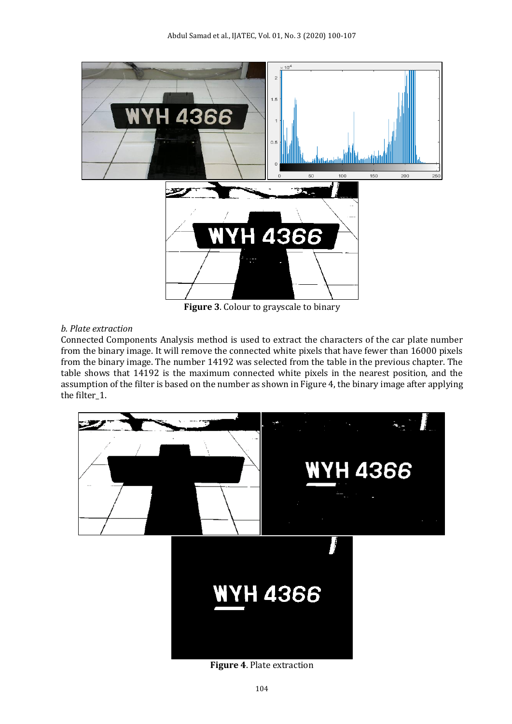

**Figure 3**. Colour to grayscale to binary

# *b. Plate extraction*

Connected Components Analysis method is used to extract the characters of the car plate number from the binary image. It will remove the connected white pixels that have fewer than 16000 pixels from the binary image. The number 14192 was selected from the table in the previous chapter. The table shows that 14192 is the maximum connected white pixels in the nearest position, and the assumption of the filter is based on the number as shown in Figure 4, the binary image after applying the filter 1.



**Figure 4**. Plate extraction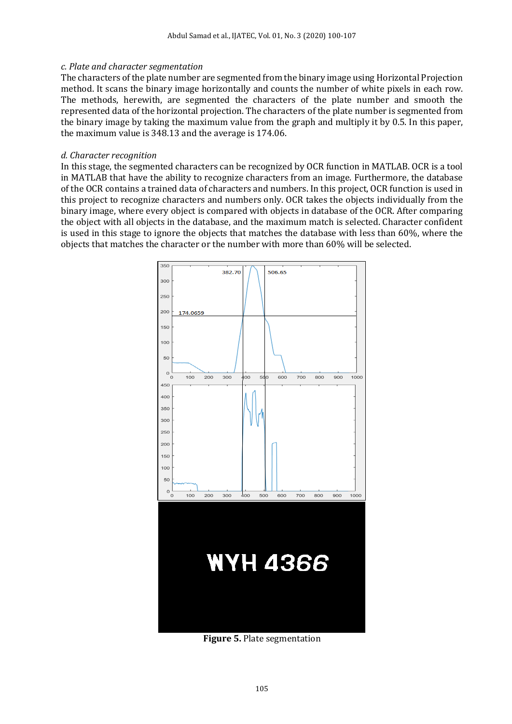#### *c. Plate and character segmentation*

The characters of the plate number are segmented from the binary image using Horizontal Projection method. It scans the binary image horizontally and counts the number of white pixels in each row. The methods, herewith, are segmented the characters of the plate number and smooth the represented data of the horizontal projection. The characters of the plate number is segmented from the binary image by taking the maximum value from the graph and multiply it by 0.5. In this paper, the maximum value is 348.13 and the average is 174.06.

#### *d. Character recognition*

In this stage, the segmented characters can be recognized by OCR function in MATLAB. OCR is a tool in MATLAB that have the ability to recognize characters from an image. Furthermore, the database of the OCR contains a trained data of characters and numbers. In this project, OCR function is used in this project to recognize characters and numbers only. OCR takes the objects individually from the binary image, where every object is compared with objects in database of the OCR. After comparing the object with all objects in the database, and the maximum match is selected. Character confident is used in this stage to ignore the objects that matches the database with less than 60%, where the objects that matches the character or the number with more than 60% will be selected.



**Figure 5.** Plate segmentation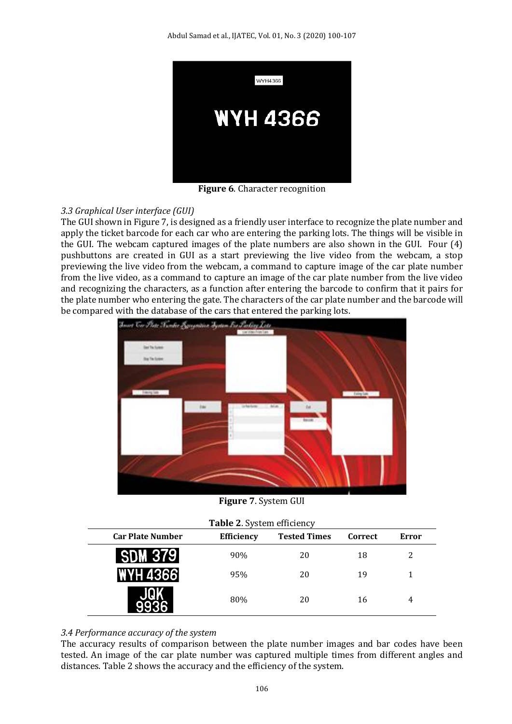

**Figure 6**. Character recognition

# *3.3 Graphical User interface (GUI)*

The GUI shown in Figure 7, is designed as a friendly user interface to recognize the plate number and apply the ticket barcode for each car who are entering the parking lots. The things will be visible in the GUI. The webcam captured images of the plate numbers are also shown in the GUI. Four (4) pushbuttons are created in GUI as a start previewing the live video from the webcam, a stop previewing the live video from the webcam, a command to capture image of the car plate number from the live video, as a command to capture an image of the car plate number from the live video and recognizing the characters, as a function after entering the barcode to confirm that it pairs for the plate number who entering the gate. The characters of the car plate number and the barcode will be compared with the database of the cars that entered the parking lots.



**Figure 7**. System GUI

|  |  | Table 2. System efficiency |  |
|--|--|----------------------------|--|
|  |  |                            |  |

| <b>Car Plate Number</b>   | <b>Efficiency</b> | <b>Tested Times</b> | Correct | Error |  |  |  |
|---------------------------|-------------------|---------------------|---------|-------|--|--|--|
| <b>3791</b><br><b>SDM</b> | 90%               | 20                  | 18      |       |  |  |  |
| <b>WYH 4366</b>           | 95%               | 20                  | 19      |       |  |  |  |
|                           | 80%               | 20                  | 16      |       |  |  |  |

## *3.4 Performance accuracy of the system*

The accuracy results of comparison between the plate number images and bar codes have been tested. An image of the car plate number was captured multiple times from different angles and distances. Table 2 shows the accuracy and the efficiency of the system.